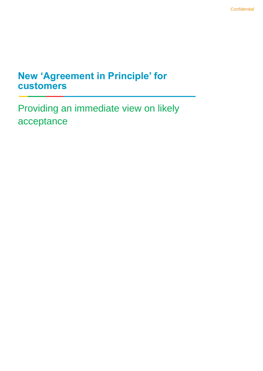## **New 'Agreement in Principle' for customers**

Providing an immediate view on likely acceptance